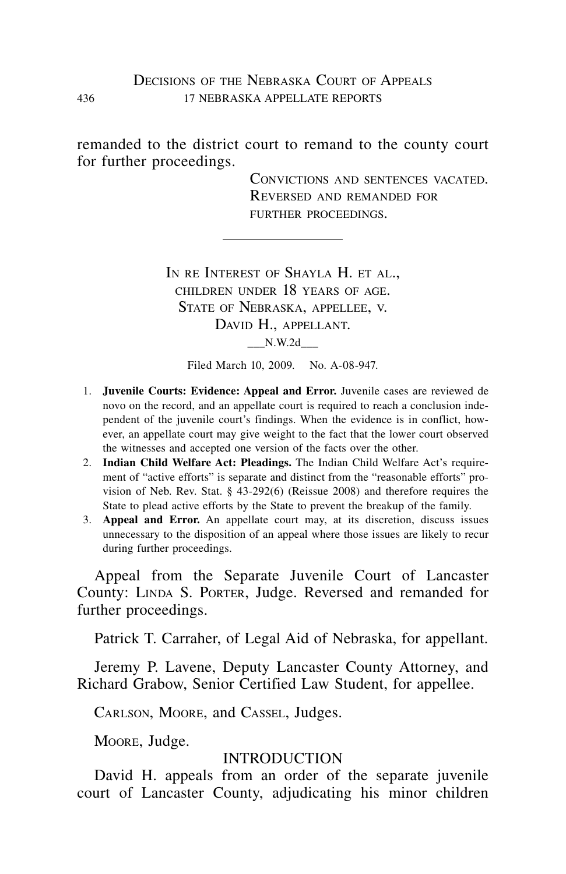#### DECISIONS OF THE NEBRASKA COURT OF APPEALS 436 17 nebraska appellate reports

remanded to the district court to remand to the county court for further proceedings.

> Convictions and sentences vacated. Reversed and remanded for further proceedings.

IN RE INTEREST OF SHAYLA H. ET AL., children under 18 years of age. STATE OF NEBRASKA, APPELLEE, V. DAVID H., APPELLANT. \_\_\_N.W.2d\_\_\_

Filed March 10, 2009. No. A-08-947.

- 1. **Juvenile Courts: Evidence: Appeal and Error.** Juvenile cases are reviewed de novo on the record, and an appellate court is required to reach a conclusion independent of the juvenile court's findings. When the evidence is in conflict, however, an appellate court may give weight to the fact that the lower court observed the witnesses and accepted one version of the facts over the other.
- 2. **Indian Child Welfare Act: Pleadings.** The Indian Child Welfare Act's requirement of "active efforts" is separate and distinct from the "reasonable efforts" provision of Neb. Rev. Stat. § 43-292(6) (Reissue 2008) and therefore requires the State to plead active efforts by the State to prevent the breakup of the family.
- 3. **Appeal and Error.** An appellate court may, at its discretion, discuss issues unnecessary to the disposition of an appeal where those issues are likely to recur during further proceedings.

Appeal from the Separate Juvenile Court of Lancaster County: LINDA S. PORTER, Judge. Reversed and remanded for further proceedings.

Patrick T. Carraher, of Legal Aid of Nebraska, for appellant.

Jeremy P. Lavene, Deputy Lancaster County Attorney, and Richard Grabow, Senior Certified Law Student, for appellee.

Carlson, Moore, and Cassel, Judges.

Moore, Judge.

#### INTRODUCTION

David H. appeals from an order of the separate juvenile court of Lancaster County, adjudicating his minor children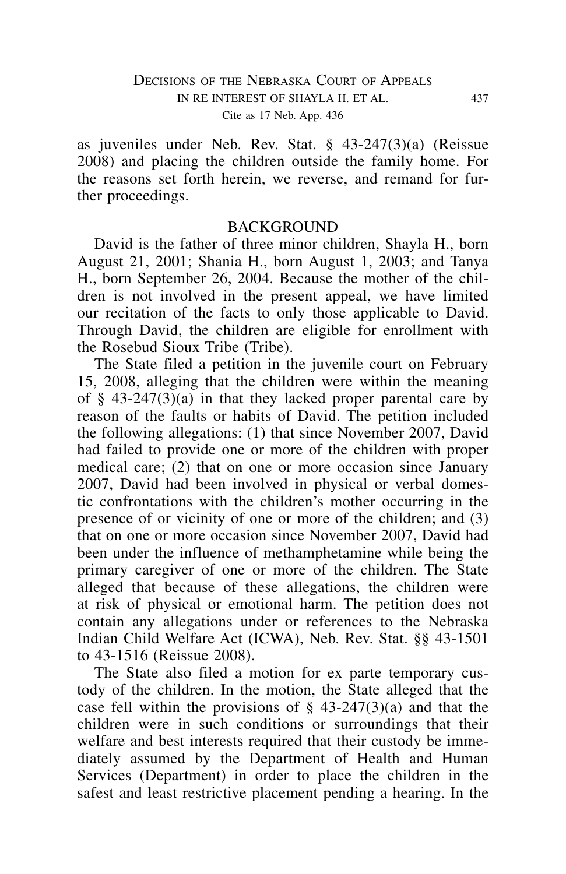as juveniles under Neb. Rev. Stat. § 43-247(3)(a) (Reissue 2008) and placing the children outside the family home. For the reasons set forth herein, we reverse, and remand for further proceedings.

#### **BACKGROUND**

David is the father of three minor children, Shayla H., born August 21, 2001; Shania H., born August 1, 2003; and Tanya H., born September 26, 2004. Because the mother of the children is not involved in the present appeal, we have limited our recitation of the facts to only those applicable to David. Through David, the children are eligible for enrollment with the Rosebud Sioux Tribe (Tribe).

The State filed a petition in the juvenile court on February 15, 2008, alleging that the children were within the meaning of § 43-247(3)(a) in that they lacked proper parental care by reason of the faults or habits of David. The petition included the following allegations: (1) that since November 2007, David had failed to provide one or more of the children with proper medical care; (2) that on one or more occasion since January 2007, David had been involved in physical or verbal domestic confrontations with the children's mother occurring in the presence of or vicinity of one or more of the children; and (3) that on one or more occasion since November 2007, David had been under the influence of methamphetamine while being the primary caregiver of one or more of the children. The State alleged that because of these allegations, the children were at risk of physical or emotional harm. The petition does not contain any allegations under or references to the Nebraska Indian Child Welfare Act (ICWA), Neb. Rev. Stat. §§ 43-1501 to 43-1516 (Reissue 2008).

The State also filed a motion for ex parte temporary custody of the children. In the motion, the State alleged that the case fell within the provisions of  $\S$  43-247(3)(a) and that the children were in such conditions or surroundings that their welfare and best interests required that their custody be immediately assumed by the Department of Health and Human Services (Department) in order to place the children in the safest and least restrictive placement pending a hearing. In the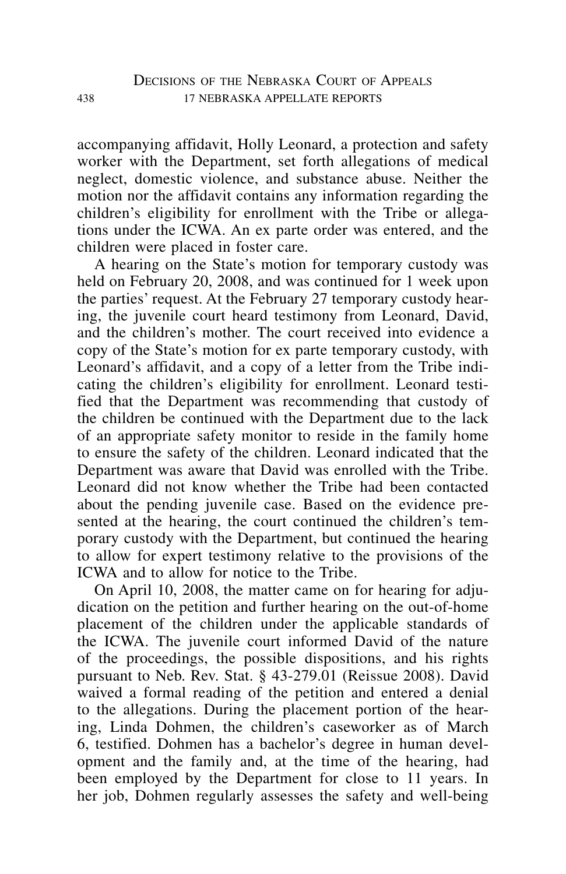accompanying affidavit, Holly Leonard, a protection and safety worker with the Department, set forth allegations of medical neglect, domestic violence, and substance abuse. Neither the motion nor the affidavit contains any information regarding the children's eligibility for enrollment with the Tribe or allegations under the ICWA. An ex parte order was entered, and the children were placed in foster care.

A hearing on the State's motion for temporary custody was held on February 20, 2008, and was continued for 1 week upon the parties' request. At the February 27 temporary custody hearing, the juvenile court heard testimony from Leonard, David, and the children's mother. The court received into evidence a copy of the State's motion for ex parte temporary custody, with Leonard's affidavit, and a copy of a letter from the Tribe indicating the children's eligibility for enrollment. Leonard testified that the Department was recommending that custody of the children be continued with the Department due to the lack of an appropriate safety monitor to reside in the family home to ensure the safety of the children. Leonard indicated that the Department was aware that David was enrolled with the Tribe. Leonard did not know whether the Tribe had been contacted about the pending juvenile case. Based on the evidence presented at the hearing, the court continued the children's temporary custody with the Department, but continued the hearing to allow for expert testimony relative to the provisions of the ICWA and to allow for notice to the Tribe.

On April 10, 2008, the matter came on for hearing for adjudication on the petition and further hearing on the out-of-home placement of the children under the applicable standards of the ICWA. The juvenile court informed David of the nature of the proceedings, the possible dispositions, and his rights pursuant to Neb. Rev. Stat. § 43-279.01 (Reissue 2008). David waived a formal reading of the petition and entered a denial to the allegations. During the placement portion of the hearing, Linda Dohmen, the children's caseworker as of March 6, testified. Dohmen has a bachelor's degree in human development and the family and, at the time of the hearing, had been employed by the Department for close to 11 years. In her job, Dohmen regularly assesses the safety and well-being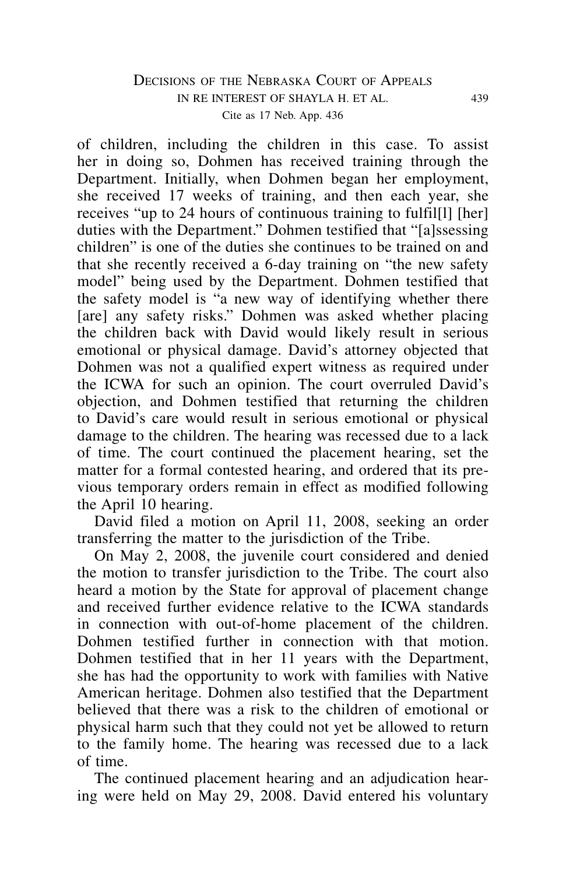## DECISIONS OF THE NEBRASKA COURT OF APPEALS in re interest of shayla h. et al. 439 Cite as 17 Neb. App. 436

of children, including the children in this case. To assist her in doing so, Dohmen has received training through the Department. Initially, when Dohmen began her employment, she received 17 weeks of training, and then each year, she receives "up to 24 hours of continuous training to fulfil[l] [her] duties with the Department." Dohmen testified that "[a]ssessing children" is one of the duties she continues to be trained on and that she recently received a 6-day training on "the new safety model" being used by the Department. Dohmen testified that the safety model is "a new way of identifying whether there [are] any safety risks." Dohmen was asked whether placing the children back with David would likely result in serious emotional or physical damage. David's attorney objected that Dohmen was not a qualified expert witness as required under the ICWA for such an opinion. The court overruled David's objection, and Dohmen testified that returning the children to David's care would result in serious emotional or physical damage to the children. The hearing was recessed due to a lack of time. The court continued the placement hearing, set the matter for a formal contested hearing, and ordered that its previous temporary orders remain in effect as modified following the April 10 hearing.

David filed a motion on April 11, 2008, seeking an order transferring the matter to the jurisdiction of the Tribe.

On May 2, 2008, the juvenile court considered and denied the motion to transfer jurisdiction to the Tribe. The court also heard a motion by the State for approval of placement change and received further evidence relative to the ICWA standards in connection with out-of-home placement of the children. Dohmen testified further in connection with that motion. Dohmen testified that in her 11 years with the Department, she has had the opportunity to work with families with Native American heritage. Dohmen also testified that the Department believed that there was a risk to the children of emotional or physical harm such that they could not yet be allowed to return to the family home. The hearing was recessed due to a lack of time.

The continued placement hearing and an adjudication hearing were held on May 29, 2008. David entered his voluntary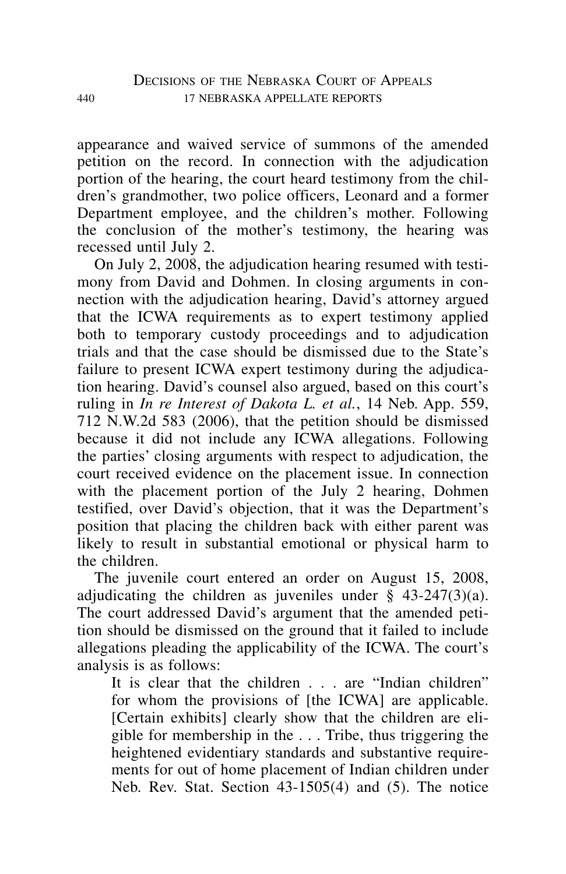appearance and waived service of summons of the amended petition on the record. In connection with the adjudication portion of the hearing, the court heard testimony from the children's grandmother, two police officers, Leonard and a former Department employee, and the children's mother. Following the conclusion of the mother's testimony, the hearing was recessed until July 2.

On July 2, 2008, the adjudication hearing resumed with testimony from David and Dohmen. In closing arguments in connection with the adjudication hearing, David's attorney argued that the ICWA requirements as to expert testimony applied both to temporary custody proceedings and to adjudication trials and that the case should be dismissed due to the State's failure to present ICWA expert testimony during the adjudication hearing. David's counsel also argued, based on this court's ruling in *In re Interest of Dakota L. et al.*, 14 Neb. App. 559, 712 N.W.2d 583 (2006), that the petition should be dismissed because it did not include any ICWA allegations. Following the parties' closing arguments with respect to adjudication, the court received evidence on the placement issue. In connection with the placement portion of the July 2 hearing, Dohmen testified, over David's objection, that it was the Department's position that placing the children back with either parent was likely to result in substantial emotional or physical harm to the children.

The juvenile court entered an order on August 15, 2008, adjudicating the children as juveniles under  $\S$  43-247(3)(a). The court addressed David's argument that the amended petition should be dismissed on the ground that it failed to include allegations pleading the applicability of the ICWA. The court's analysis is as follows:

It is clear that the children . . . are "Indian children" for whom the provisions of [the ICWA] are applicable. [Certain exhibits] clearly show that the children are eligible for membership in the . . . Tribe, thus triggering the heightened evidentiary standards and substantive requirements for out of home placement of Indian children under Neb. Rev. Stat. Section 43-1505(4) and (5). The notice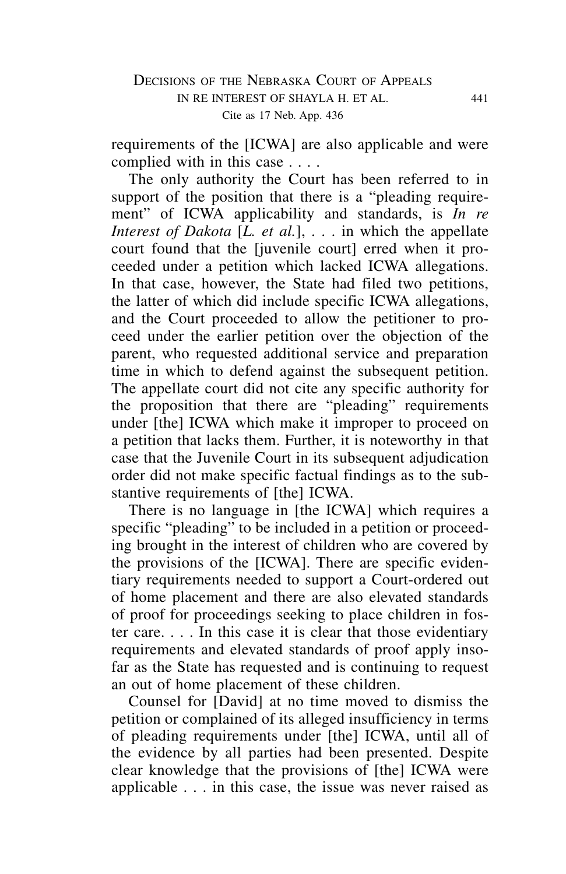requirements of the [ICWA] are also applicable and were complied with in this case . . . .

The only authority the Court has been referred to in support of the position that there is a "pleading requirement" of ICWA applicability and standards, is *In re Interest of Dakota* [*L. et al.*], . . . in which the appellate court found that the [juvenile court] erred when it proceeded under a petition which lacked ICWA allegations. In that case, however, the State had filed two petitions, the latter of which did include specific ICWA allegations, and the Court proceeded to allow the petitioner to proceed under the earlier petition over the objection of the parent, who requested additional service and preparation time in which to defend against the subsequent petition. The appellate court did not cite any specific authority for the proposition that there are "pleading" requirements under [the] ICWA which make it improper to proceed on a petition that lacks them. Further, it is noteworthy in that case that the Juvenile Court in its subsequent adjudication order did not make specific factual findings as to the substantive requirements of [the] ICWA.

There is no language in [the ICWA] which requires a specific "pleading" to be included in a petition or proceeding brought in the interest of children who are covered by the provisions of the [ICWA]. There are specific evidentiary requirements needed to support a Court-ordered out of home placement and there are also elevated standards of proof for proceedings seeking to place children in foster care. . . . In this case it is clear that those evidentiary requirements and elevated standards of proof apply insofar as the State has requested and is continuing to request an out of home placement of these children.

Counsel for [David] at no time moved to dismiss the petition or complained of its alleged insufficiency in terms of pleading requirements under [the] ICWA, until all of the evidence by all parties had been presented. Despite clear knowledge that the provisions of [the] ICWA were applicable . . . in this case, the issue was never raised as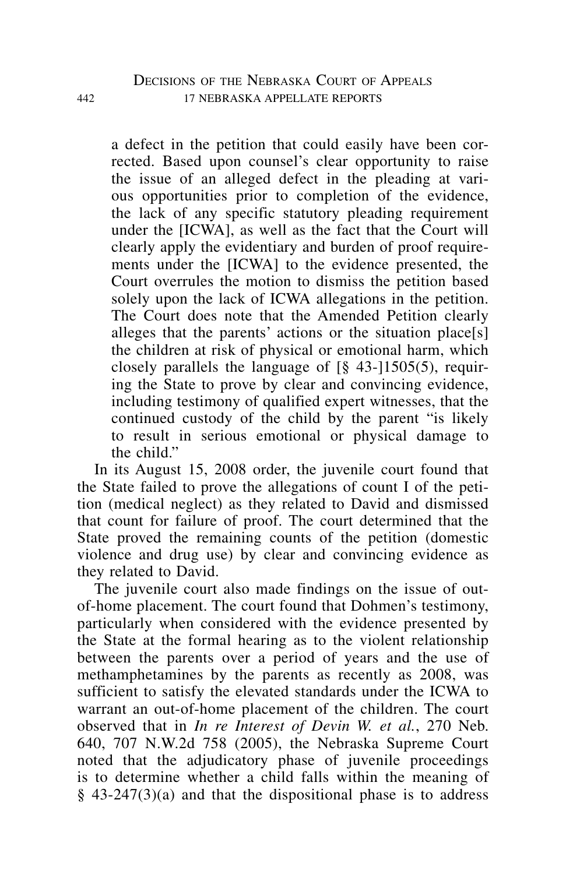a defect in the petition that could easily have been corrected. Based upon counsel's clear opportunity to raise the issue of an alleged defect in the pleading at various opportunities prior to completion of the evidence, the lack of any specific statutory pleading requirement under the [ICWA], as well as the fact that the Court will clearly apply the evidentiary and burden of proof requirements under the [ICWA] to the evidence presented, the Court overrules the motion to dismiss the petition based solely upon the lack of ICWA allegations in the petition. The Court does note that the Amended Petition clearly alleges that the parents' actions or the situation place[s] the children at risk of physical or emotional harm, which closely parallels the language of  $\lceil \S$  43- $\rceil$ 1505(5), requiring the State to prove by clear and convincing evidence, including testimony of qualified expert witnesses, that the continued custody of the child by the parent "is likely to result in serious emotional or physical damage to the child"

In its August 15, 2008 order, the juvenile court found that the State failed to prove the allegations of count I of the petition (medical neglect) as they related to David and dismissed that count for failure of proof. The court determined that the State proved the remaining counts of the petition (domestic violence and drug use) by clear and convincing evidence as they related to David.

The juvenile court also made findings on the issue of outof-home placement. The court found that Dohmen's testimony, particularly when considered with the evidence presented by the State at the formal hearing as to the violent relationship between the parents over a period of years and the use of methamphetamines by the parents as recently as 2008, was sufficient to satisfy the elevated standards under the ICWA to warrant an out-of-home placement of the children. The court observed that in *In re Interest of Devin W. et al.*, 270 Neb. 640, 707 N.W.2d 758 (2005), the Nebraska Supreme Court noted that the adjudicatory phase of juvenile proceedings is to determine whether a child falls within the meaning of  $§$  43-247(3)(a) and that the dispositional phase is to address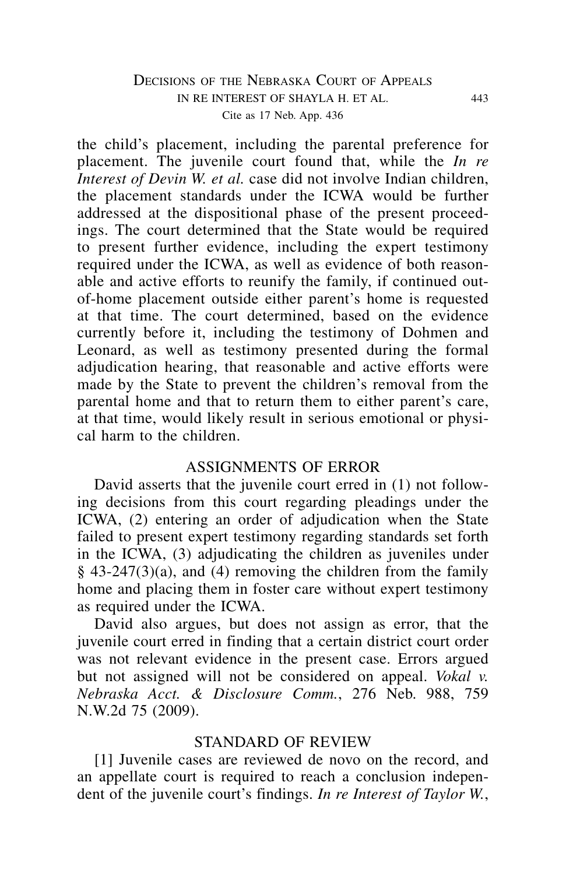## DECISIONS OF THE NEBRASKA COURT OF APPEALS in re interest of shayla h. et al. 443 Cite as 17 Neb. App. 436

the child's placement, including the parental preference for placement. The juvenile court found that, while the *In re Interest of Devin W. et al.* case did not involve Indian children, the placement standards under the ICWA would be further addressed at the dispositional phase of the present proceedings. The court determined that the State would be required to present further evidence, including the expert testimony required under the ICWA, as well as evidence of both reasonable and active efforts to reunify the family, if continued outof-home placement outside either parent's home is requested at that time. The court determined, based on the evidence currently before it, including the testimony of Dohmen and Leonard, as well as testimony presented during the formal adjudication hearing, that reasonable and active efforts were made by the State to prevent the children's removal from the parental home and that to return them to either parent's care, at that time, would likely result in serious emotional or physical harm to the children.

## ASSIGNMENTS OF ERROR

David asserts that the juvenile court erred in (1) not following decisions from this court regarding pleadings under the ICWA, (2) entering an order of adjudication when the State failed to present expert testimony regarding standards set forth in the ICWA, (3) adjudicating the children as juveniles under  $§$  43-247(3)(a), and (4) removing the children from the family home and placing them in foster care without expert testimony as required under the ICWA.

David also argues, but does not assign as error, that the juvenile court erred in finding that a certain district court order was not relevant evidence in the present case. Errors argued but not assigned will not be considered on appeal. *Vokal v. Nebraska Acct. & Disclosure Comm.*, 276 Neb. 988, 759 N.W.2d 75 (2009).

#### STANDARD OF REVIEW

[1] Juvenile cases are reviewed de novo on the record, and an appellate court is required to reach a conclusion independent of the juvenile court's findings. *In re Interest of Taylor W.*,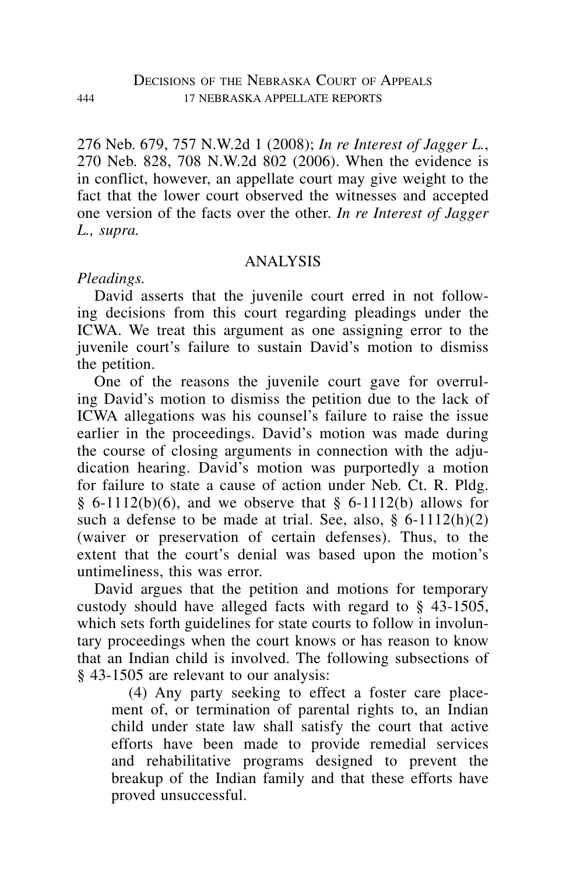276 Neb. 679, 757 N.W.2d 1 (2008); *In re Interest of Jagger L.*, 270 Neb. 828, 708 N.W.2d 802 (2006). When the evidence is in conflict, however, an appellate court may give weight to the fact that the lower court observed the witnesses and accepted one version of the facts over the other. *In re Interest of Jagger L., supra.*

# ANALYSIS

## *Pleadings.*

David asserts that the juvenile court erred in not following decisions from this court regarding pleadings under the ICWA. We treat this argument as one assigning error to the juvenile court's failure to sustain David's motion to dismiss the petition.

One of the reasons the juvenile court gave for overruling David's motion to dismiss the petition due to the lack of ICWA allegations was his counsel's failure to raise the issue earlier in the proceedings. David's motion was made during the course of closing arguments in connection with the adjudication hearing. David's motion was purportedly a motion for failure to state a cause of action under Neb. Ct. R. Pldg. § 6-1112(b)(6), and we observe that § 6-1112(b) allows for such a defense to be made at trial. See, also,  $\delta$  6-1112(h)(2) (waiver or preservation of certain defenses). Thus, to the extent that the court's denial was based upon the motion's untimeliness, this was error.

David argues that the petition and motions for temporary custody should have alleged facts with regard to § 43-1505, which sets forth guidelines for state courts to follow in involuntary proceedings when the court knows or has reason to know that an Indian child is involved. The following subsections of § 43-1505 are relevant to our analysis:

(4) Any party seeking to effect a foster care placement of, or termination of parental rights to, an Indian child under state law shall satisfy the court that active efforts have been made to provide remedial services and rehabilitative programs designed to prevent the breakup of the Indian family and that these efforts have proved unsuccessful.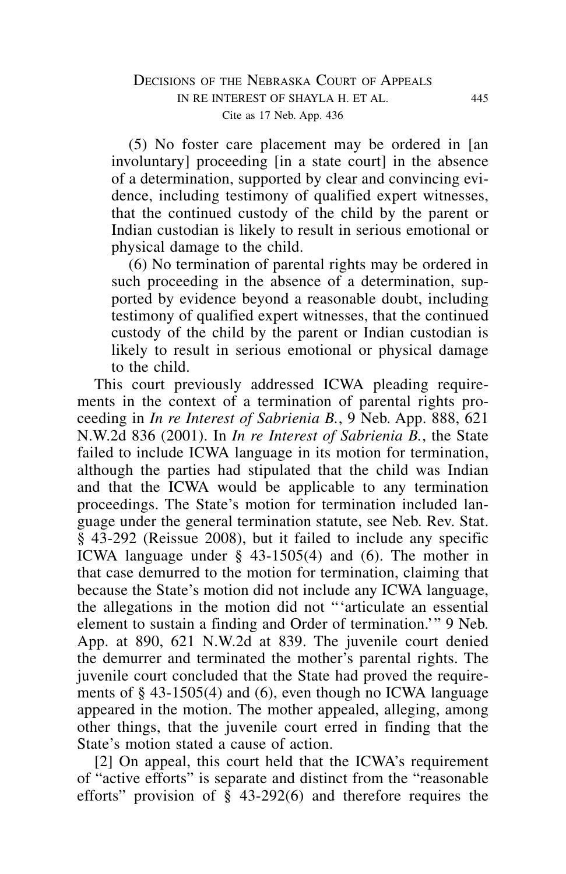(5) No foster care placement may be ordered in [an involuntary] proceeding [in a state court] in the absence of a determination, supported by clear and convincing evidence, including testimony of qualified expert witnesses, that the continued custody of the child by the parent or Indian custodian is likely to result in serious emotional or physical damage to the child.

(6) No termination of parental rights may be ordered in such proceeding in the absence of a determination, supported by evidence beyond a reasonable doubt, including testimony of qualified expert witnesses, that the continued custody of the child by the parent or Indian custodian is likely to result in serious emotional or physical damage to the child.

This court previously addressed ICWA pleading requirements in the context of a termination of parental rights proceeding in *In re Interest of Sabrienia B.*, 9 Neb. App. 888, 621 N.W.2d 836 (2001). In *In re Interest of Sabrienia B.*, the State failed to include ICWA language in its motion for termination, although the parties had stipulated that the child was Indian and that the ICWA would be applicable to any termination proceedings. The State's motion for termination included language under the general termination statute, see Neb. Rev. Stat. § 43-292 (Reissue 2008), but it failed to include any specific ICWA language under § 43-1505(4) and (6). The mother in that case demurred to the motion for termination, claiming that because the State's motion did not include any ICWA language, the allegations in the motion did not "'articulate an essential element to sustain a finding and Order of termination.'" 9 Neb. App. at 890, 621 N.W.2d at 839. The juvenile court denied the demurrer and terminated the mother's parental rights. The juvenile court concluded that the State had proved the requirements of § 43-1505(4) and (6), even though no ICWA language appeared in the motion. The mother appealed, alleging, among other things, that the juvenile court erred in finding that the State's motion stated a cause of action.

[2] On appeal, this court held that the ICWA's requirement of "active efforts" is separate and distinct from the "reasonable efforts" provision of  $\hat{\S}$  43-292(6) and therefore requires the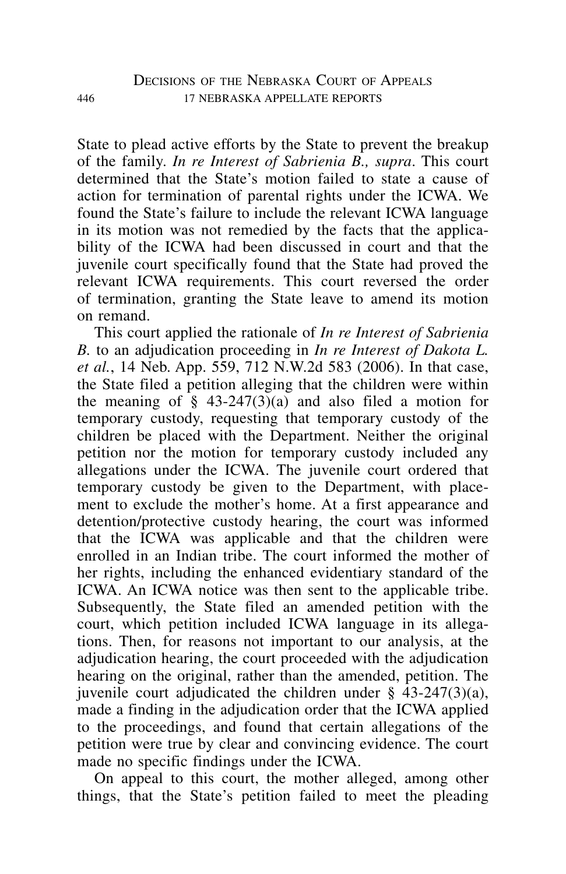State to plead active efforts by the State to prevent the breakup of the family. *In re Interest of Sabrienia B., supra*. This court determined that the State's motion failed to state a cause of action for termination of parental rights under the ICWA. We found the State's failure to include the relevant ICWA language in its motion was not remedied by the facts that the applicability of the ICWA had been discussed in court and that the juvenile court specifically found that the State had proved the relevant ICWA requirements. This court reversed the order of termination, granting the State leave to amend its motion on remand.

This court applied the rationale of *In re Interest of Sabrienia B.* to an adjudication proceeding in *In re Interest of Dakota L. et al.*, 14 Neb. App. 559, 712 N.W.2d 583 (2006). In that case, the State filed a petition alleging that the children were within the meaning of  $\S$  43-247(3)(a) and also filed a motion for temporary custody, requesting that temporary custody of the children be placed with the Department. Neither the original petition nor the motion for temporary custody included any allegations under the ICWA. The juvenile court ordered that temporary custody be given to the Department, with placement to exclude the mother's home. At a first appearance and detention/protective custody hearing, the court was informed that the ICWA was applicable and that the children were enrolled in an Indian tribe. The court informed the mother of her rights, including the enhanced evidentiary standard of the ICWA. An ICWA notice was then sent to the applicable tribe. Subsequently, the State filed an amended petition with the court, which petition included ICWA language in its allegations. Then, for reasons not important to our analysis, at the adjudication hearing, the court proceeded with the adjudication hearing on the original, rather than the amended, petition. The juvenile court adjudicated the children under  $\S$  43-247(3)(a), made a finding in the adjudication order that the ICWA applied to the proceedings, and found that certain allegations of the petition were true by clear and convincing evidence. The court made no specific findings under the ICWA.

On appeal to this court, the mother alleged, among other things, that the State's petition failed to meet the pleading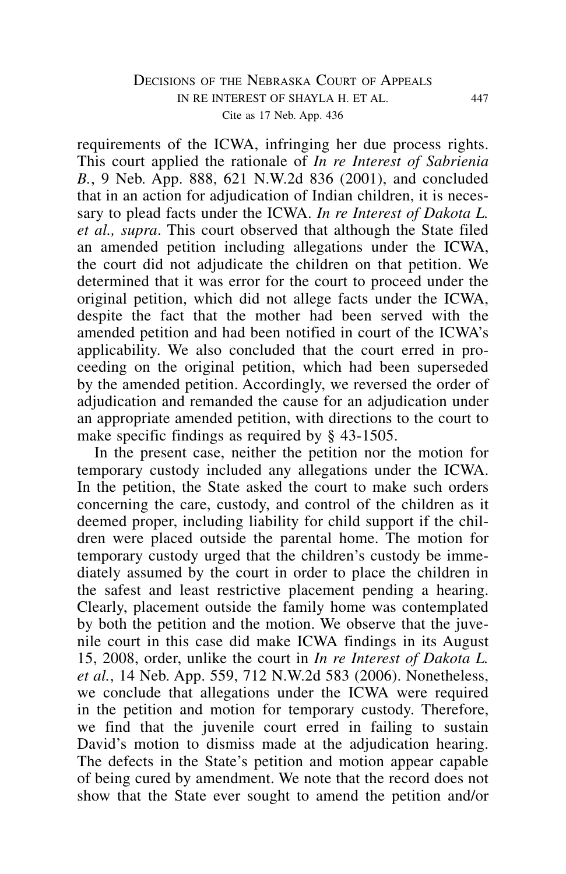## DECISIONS OF THE NEBRASKA COURT OF APPEALS in re interest of shayla h. et al. 447 Cite as 17 Neb. App. 436

requirements of the ICWA, infringing her due process rights. This court applied the rationale of *In re Interest of Sabrienia B.*, 9 Neb. App. 888, 621 N.W.2d 836 (2001), and concluded that in an action for adjudication of Indian children, it is necessary to plead facts under the ICWA. *In re Interest of Dakota L. et al., supra*. This court observed that although the State filed an amended petition including allegations under the ICWA, the court did not adjudicate the children on that petition. We determined that it was error for the court to proceed under the original petition, which did not allege facts under the ICWA, despite the fact that the mother had been served with the amended petition and had been notified in court of the ICWA's applicability. We also concluded that the court erred in proceeding on the original petition, which had been superseded by the amended petition. Accordingly, we reversed the order of adjudication and remanded the cause for an adjudication under an appropriate amended petition, with directions to the court to make specific findings as required by § 43-1505.

In the present case, neither the petition nor the motion for temporary custody included any allegations under the ICWA. In the petition, the State asked the court to make such orders concerning the care, custody, and control of the children as it deemed proper, including liability for child support if the children were placed outside the parental home. The motion for temporary custody urged that the children's custody be immediately assumed by the court in order to place the children in the safest and least restrictive placement pending a hearing. Clearly, placement outside the family home was contemplated by both the petition and the motion. We observe that the juvenile court in this case did make ICWA findings in its August 15, 2008, order, unlike the court in *In re Interest of Dakota L. et al.*, 14 Neb. App. 559, 712 N.W.2d 583 (2006). Nonetheless, we conclude that allegations under the ICWA were required in the petition and motion for temporary custody. Therefore, we find that the juvenile court erred in failing to sustain David's motion to dismiss made at the adjudication hearing. The defects in the State's petition and motion appear capable of being cured by amendment. We note that the record does not show that the State ever sought to amend the petition and/or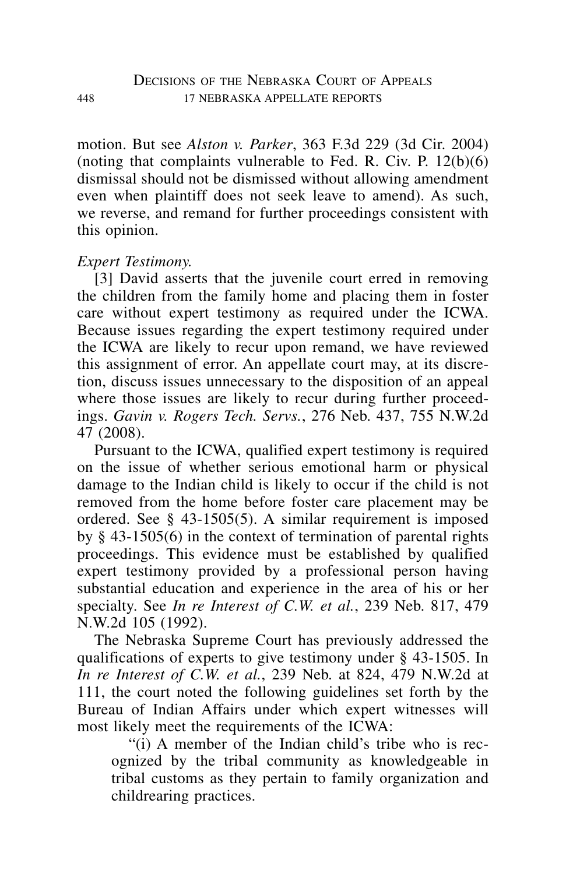motion. But see *Alston v. Parker*, 363 F.3d 229 (3d Cir. 2004) (noting that complaints vulnerable to Fed. R. Civ. P.  $12(b)(6)$ ) dismissal should not be dismissed without allowing amendment even when plaintiff does not seek leave to amend). As such, we reverse, and remand for further proceedings consistent with this opinion.

# *Expert Testimony.*

[3] David asserts that the juvenile court erred in removing the children from the family home and placing them in foster care without expert testimony as required under the ICWA. Because issues regarding the expert testimony required under the ICWA are likely to recur upon remand, we have reviewed this assignment of error. An appellate court may, at its discretion, discuss issues unnecessary to the disposition of an appeal where those issues are likely to recur during further proceedings. *Gavin v. Rogers Tech. Servs.*, 276 Neb. 437, 755 N.W.2d 47 (2008).

Pursuant to the ICWA, qualified expert testimony is required on the issue of whether serious emotional harm or physical damage to the Indian child is likely to occur if the child is not removed from the home before foster care placement may be ordered. See § 43-1505(5). A similar requirement is imposed by § 43-1505(6) in the context of termination of parental rights proceedings. This evidence must be established by qualified expert testimony provided by a professional person having substantial education and experience in the area of his or her specialty. See *In re Interest of C.W. et al.*, 239 Neb. 817, 479 N.W.2d 105 (1992).

The Nebraska Supreme Court has previously addressed the qualifications of experts to give testimony under § 43-1505. In *In re Interest of C.W. et al.*, 239 Neb. at 824, 479 N.W.2d at 111, the court noted the following guidelines set forth by the Bureau of Indian Affairs under which expert witnesses will most likely meet the requirements of the ICWA:

"(i) A member of the Indian child's tribe who is recognized by the tribal community as knowledgeable in tribal customs as they pertain to family organization and childrearing practices.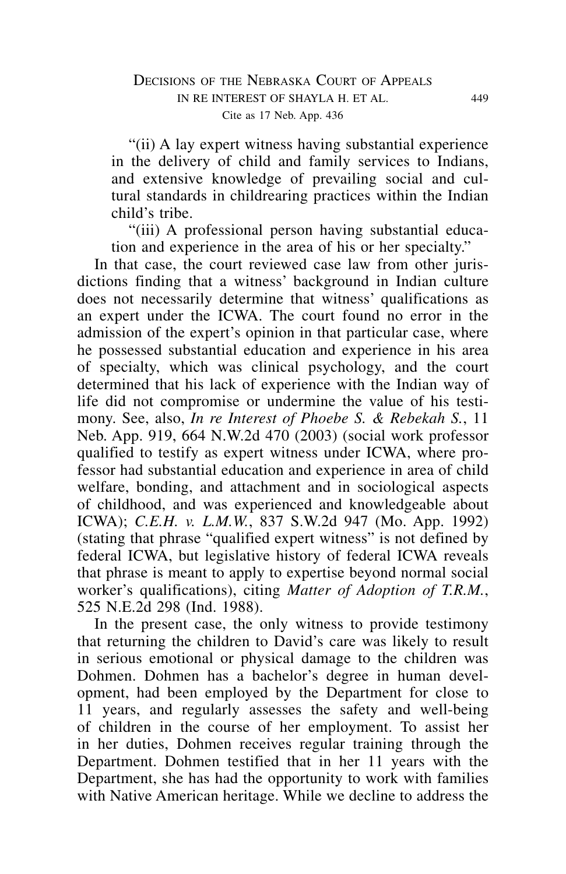"(ii) A lay expert witness having substantial experience in the delivery of child and family services to Indians, and extensive knowledge of prevailing social and cultural standards in childrearing practices within the Indian child's tribe.

"(iii) A professional person having substantial education and experience in the area of his or her specialty."

In that case, the court reviewed case law from other jurisdictions finding that a witness' background in Indian culture does not necessarily determine that witness' qualifications as an expert under the ICWA. The court found no error in the admission of the expert's opinion in that particular case, where he possessed substantial education and experience in his area of specialty, which was clinical psychology, and the court determined that his lack of experience with the Indian way of life did not compromise or undermine the value of his testimony. See, also, *In re Interest of Phoebe S. & Rebekah S.*, 11 Neb. App. 919, 664 N.W.2d 470 (2003) (social work professor qualified to testify as expert witness under ICWA, where professor had substantial education and experience in area of child welfare, bonding, and attachment and in sociological aspects of childhood, and was experienced and knowledgeable about ICWA); *C.E.H. v. L.M.W.*, 837 S.W.2d 947 (Mo. App. 1992) (stating that phrase "qualified expert witness" is not defined by federal ICWA, but legislative history of federal ICWA reveals that phrase is meant to apply to expertise beyond normal social worker's qualifications), citing *Matter of Adoption of T.R.M.*, 525 N.E.2d 298 (Ind. 1988).

In the present case, the only witness to provide testimony that returning the children to David's care was likely to result in serious emotional or physical damage to the children was Dohmen. Dohmen has a bachelor's degree in human development, had been employed by the Department for close to 11 years, and regularly assesses the safety and well-being of children in the course of her employment. To assist her in her duties, Dohmen receives regular training through the Department. Dohmen testified that in her 11 years with the Department, she has had the opportunity to work with families with Native American heritage. While we decline to address the